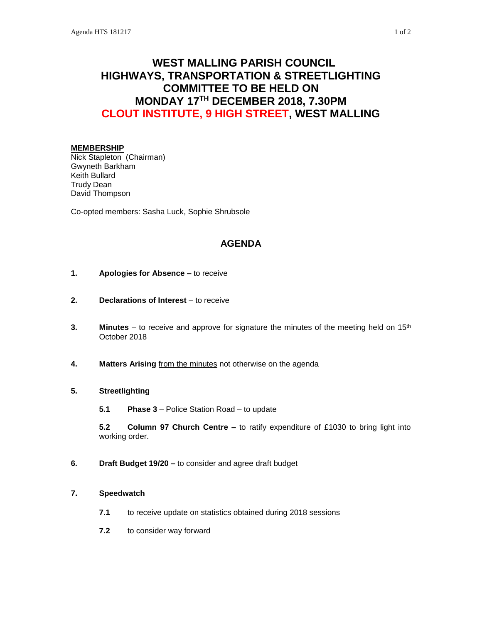# **WEST MALLING PARISH COUNCIL HIGHWAYS, TRANSPORTATION & STREETLIGHTING COMMITTEE TO BE HELD ON MONDAY 17TH DECEMBER 2018, 7.30PM CLOUT INSTITUTE, 9 HIGH STREET, WEST MALLING**

#### **MEMBERSHIP**

Nick Stapleton (Chairman) Gwyneth Barkham Keith Bullard Trudy Dean David Thompson

Co-opted members: Sasha Luck, Sophie Shrubsole

# **AGENDA**

- **1. Apologies for Absence –** to receive
- **2. Declarations of Interest** to receive
- **3. Minutes** to receive and approve for signature the minutes of the meeting held on 15<sup>th</sup> October 2018
- **4. Matters Arising** from the minutes not otherwise on the agenda

## **5. Streetlighting**

**5.1 Phase 3** – Police Station Road – to update

**5.2 Column 97 Church Centre –** to ratify expenditure of £1030 to bring light into working order.

**6. Draft Budget 19/20 –** to consider and agree draft budget

#### **7. Speedwatch**

- **7.1** to receive update on statistics obtained during 2018 sessions
- **7.2** to consider way forward